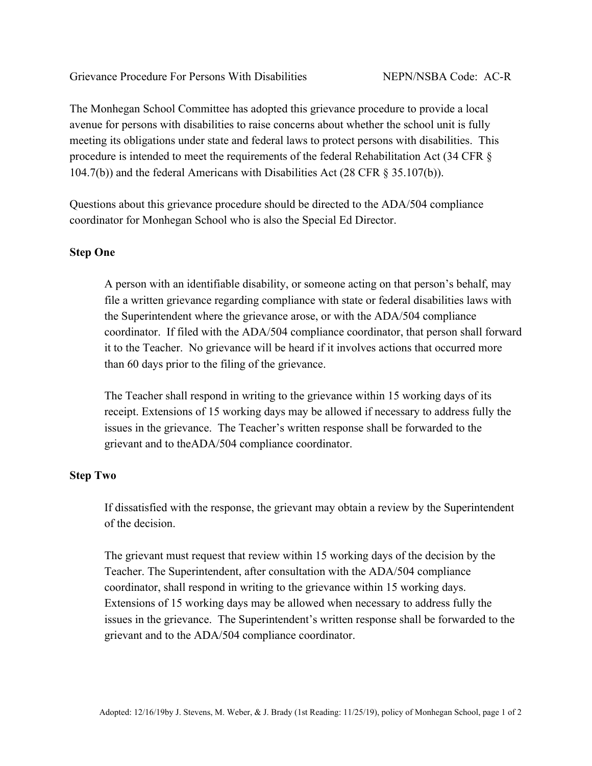The Monhegan School Committee has adopted this grievance procedure to provide a local avenue for persons with disabilities to raise concerns about whether the school unit is fully meeting its obligations under state and federal laws to protect persons with disabilities. This procedure is intended to meet the requirements of the federal Rehabilitation Act (34 CFR § 104.7(b)) and the federal Americans with Disabilities Act (28 CFR § 35.107(b)).

Questions about this grievance procedure should be directed to the ADA/504 compliance coordinator for Monhegan School who is also the Special Ed Director.

## **Step One**

A person with an identifiable disability, or someone acting on that person's behalf, may file a written grievance regarding compliance with state or federal disabilities laws with the Superintendent where the grievance arose, or with the ADA/504 compliance coordinator. If filed with the ADA/504 compliance coordinator, that person shall forward it to the Teacher. No grievance will be heard if it involves actions that occurred more than 60 days prior to the filing of the grievance.

The Teacher shall respond in writing to the grievance within 15 working days of its receipt. Extensions of 15 working days may be allowed if necessary to address fully the issues in the grievance. The Teacher's written response shall be forwarded to the grievant and to theADA/504 compliance coordinator.

## **Step Two**

If dissatisfied with the response, the grievant may obtain a review by the Superintendent of the decision.

The grievant must request that review within 15 working days of the decision by the Teacher. The Superintendent, after consultation with the ADA/504 compliance coordinator, shall respond in writing to the grievance within 15 working days. Extensions of 15 working days may be allowed when necessary to address fully the issues in the grievance. The Superintendent's written response shall be forwarded to the grievant and to the ADA/504 compliance coordinator.